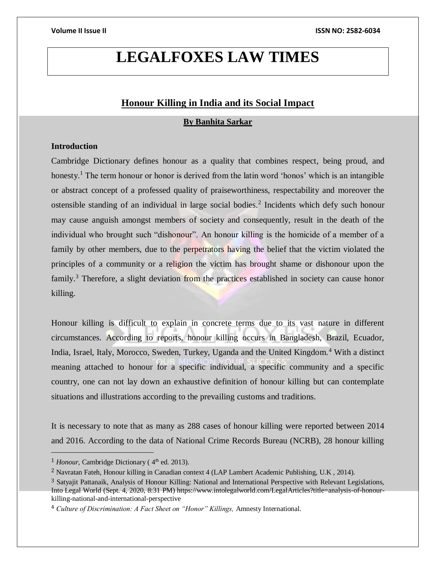# **LEGALFOXES LAW TIMES**

# **Honour Killing in India and its Social Impact**

**By Banhita Sarkar**

# **Introduction**

Cambridge Dictionary defines honour as a [quality](https://dictionary.cambridge.org/dictionary/english/quality) that [combines](https://dictionary.cambridge.org/dictionary/english/combine) [respect,](https://dictionary.cambridge.org/dictionary/english/respect) being proud, and [honesty.](https://dictionary.cambridge.org/dictionary/english/honesty)<sup>1</sup> The term honour or honor is derived from the latin word 'honos' which is an intangible or abstract concept of a professed quality of praiseworthiness, respectability and moreover the ostensible standing of an individual in large social bodies.<sup>2</sup> Incidents which defy such honour may cause anguish amongst members of society and consequently, result in the death of the individual who brought such "dishonour". An honour killing is the homicide of a member of a family by other members, due to the perpetrators having the belief that the victim violated the principles of a community or a religion the victim has brought shame or dishonour upon the family.<sup>3</sup> Therefore, a slight deviation from the practices established in society can cause honor killing.

Honour killing is difficult to explain in concrete terms due to its vast nature in different circumstances. According to reports, honour killing occurs in Bangladesh, Brazil, Ecuador, India, Israel, Italy, Morocco, Sweden, Turkey, Uganda and the United Kingdom.<sup>4</sup> With a distinct meaning attached to honour for a specific individual, a specific community and a specific country, one can not lay down an exhaustive definition of honour killing but can contemplate situations and illustrations according to the prevailing customs and traditions.

It is necessary to note that as many as 288 cases of honour killing were reported between 2014 and 2016. According to the data of National Crime Records Bureau (NCRB), 28 honour killing

<sup>&</sup>lt;sup>1</sup> *Honour*, Cambridge Dictionary (4<sup>th</sup> ed. 2013).

<sup>2</sup> Navratan Fateh, Honour killing in Canadian context 4 (LAP Lambert Academic Publishing, U.K , 2014).

<sup>&</sup>lt;sup>3</sup> Satyajit Pattanaik, Analysis of Honour Killing: National and International Perspective with Relevant Legislations, Into Legal World (Sept. 4, 2020, 8:31 PM) https://www.intolegalworld.com/LegalArticles?title=analysis-of-honourkilling-national-and-international-perspective

<sup>4</sup> *Culture of Discrimination: A Fact Sheet on "Honor" Killings,* Amnesty International.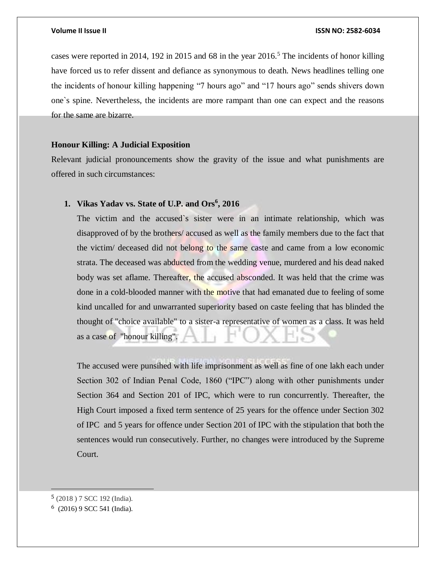cases were reported in 2014, 192 in 2015 and 68 in the year  $2016<sup>5</sup>$ . The incidents of honor killing have forced us to refer dissent and defiance as synonymous to death. News headlines telling one the incidents of honour killing happening "7 hours ago" and "17 hours ago" sends shivers down one`s spine. Nevertheless, the incidents are more rampant than one can expect and the reasons for the same are bizarre.

# **Honour Killing: A Judicial Exposition**

Relevant judicial pronouncements show the gravity of the issue and what punishments are offered in such circumstances:

# **1. Vikas Yadav vs. State of U.P. and Ors<sup>6</sup> , 2016**

The victim and the accused`s sister were in an intimate relationship, which was disapproved of by the brothers/ accused as well as the family members due to the fact that the victim/ deceased did not belong to the same caste and came from a low economic strata. The deceased was abducted from the wedding venue, murdered and his dead naked body was set aflame. Thereafter, the accused absconded. It was held that the crime was done in a cold-blooded manner with the motive that had emanated due to feeling of some kind uncalled for and unwarranted superiority based on caste feeling that has blinded the thought of "choice available" to a sister-a representative of women as a class. It was held as a case of "honour killing".

The accused were punsihed with life imprisonment as well as fine of one lakh each under Section 302 of Indian Penal Code, 1860 ("IPC") along with other punishments under Section 364 and Section 201 of IPC, which were to run concurrently. Thereafter, the High Court imposed a fixed term sentence of 25 years for the offence under Section 302 of IPC and 5 years for offence under Section 201 of IPC with the stipulation that both the sentences would run consecutively. Further, no changes were introduced by the Supreme Court.

<sup>5</sup> (2018 ) 7 SCC 192 (India).

 $6$  (2016) 9 SCC 541 (India).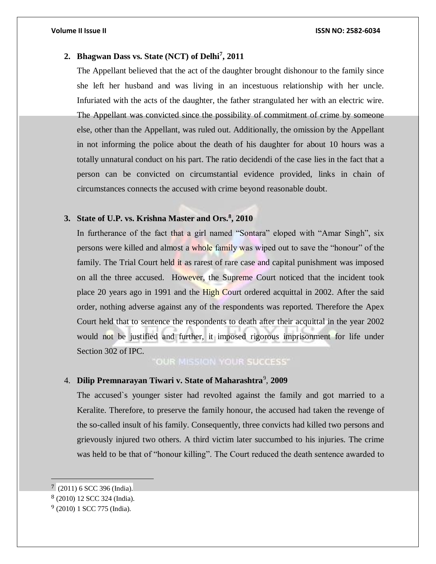# **2. Bhagwan Dass vs. State (NCT) of Delhi<sup>7</sup> , 2011**

The Appellant believed that the act of the daughter brought dishonour to the family since she left her husband and was living in an incestuous relationship with her uncle. Infuriated with the acts of the daughter, the father strangulated her with an electric wire. The Appellant was convicted since the possibility of commitment of crime by someone else, other than the Appellant, was ruled out. Additionally, the omission by the Appellant in not informing the police about the death of his daughter for about 10 hours was a totally unnatural conduct on his part. The ratio decidendi of the case lies in the fact that a person can be convicted on circumstantial evidence provided, links in chain of circumstances connects the accused with crime beyond reasonable doubt.

# **3. State of U.P. vs. Krishna Master and Ors.<sup>8</sup> , 2010**

In furtherance of the fact that a girl named "Sontara" eloped with "Amar Singh", six persons were killed and almost a whole family was wiped out to save the "honour" of the family. The Trial Court held it as rarest of rare case and capital punishment was imposed on all the three accused. However, the Supreme Court noticed that the incident took place 20 years ago in 1991 and the High Court ordered acquittal in 2002. After the said order, nothing adverse against any of the respondents was reported. Therefore the Apex Court held that to sentence the respondents to death after their acquittal in the year 2002 would not be justified and further, it imposed rigorous imprisonment for life under Section 302 of IPC.

"OUR MISSION YOUR SUCCESS"

# 4. **Dilip Premnarayan Tiwari v. State of Maharashtra**<sup>9</sup> , **2009**

The accused`s younger sister had revolted against the family and got married to a Keralite. Therefore, to preserve the family honour, the accused had taken the revenge of the so-called insult of his family. Consequently, three convicts had killed two persons and grievously injured two others. A third victim later succumbed to his injuries. The crime was held to be that of "honour killing". The Court reduced the death sentence awarded to

 $7(2011)$  6 SCC 396 (India).

<sup>8</sup> (2010) 12 SCC 324 (India).

<sup>9</sup> (2010) 1 SCC 775 (India).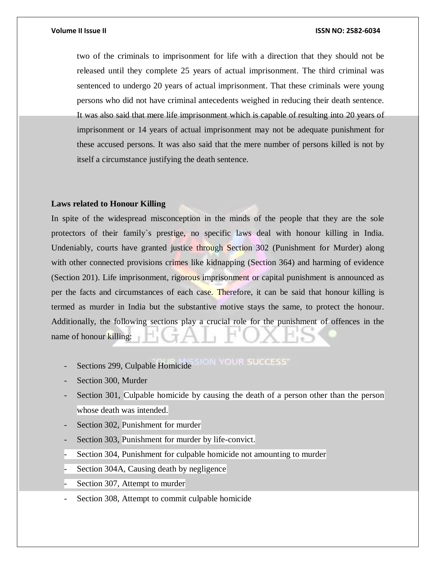two of the criminals to imprisonment for life with a direction that they should not be released until they complete 25 years of actual imprisonment. The third criminal was sentenced to undergo 20 years of actual imprisonment. That these criminals were young persons who did not have criminal antecedents weighed in reducing their death sentence. It was also said that mere life imprisonment which is capable of resulting into 20 years of imprisonment or 14 years of actual imprisonment may not be adequate punishment for these accused persons. It was also said that the mere number of persons killed is not by itself a circumstance justifying the death sentence.

# **Laws related to Honour Killing**

In spite of the widespread misconception in the minds of the people that they are the sole protectors of their family`s prestige, no specific laws deal with honour killing in India. Undeniably, courts have granted justice through Section 302 (Punishment for Murder) along with other connected provisions crimes like kidnapping (Section 364) and harming of evidence (Section 201). Life imprisonment, rigorous imprisonment or capital punishment is announced as per the facts and circumstances of each case. Therefore, it can be said that honour killing is termed as murder in India but the substantive motive stays the same, to protect the honour. Additionally, the following sections play a crucial role for the punishment of offences in the name of honour killing:

Sections 299, Culpable Homicide SICIN YOUR SUCCESS'

- Section 300, Murder
- Section 301, Culpable homicide by causing the death of a person other than the person whose death was intended.
- Section 302, Punishment for murder
- Section 303, Punishment for murder by life-convict.
- Section 304, Punishment for culpable homicide not amounting to murder
- Section 304A, Causing death by negligence
- Section 307, Attempt to murder
- Section 308, Attempt to commit culpable homicide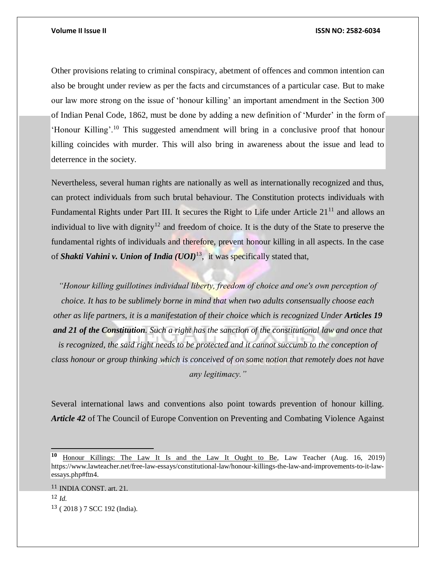Other provisions relating to criminal conspiracy, abetment of offences and common intention can also be brought under review as per the facts and circumstances of a particular case. But to make our law more strong on the issue of 'honour killing' an important amendment in the Section 300 of Indian Penal Code, 1862, must be done by adding a new definition of 'Murder' in the form of 'Honour Killing'.<sup>10</sup> This suggested amendment will bring in a conclusive proof that honour killing coincides with murder. This will also bring in awareness about the issue and lead to deterrence in the society.

Nevertheless, several human rights are nationally as well as internationally recognized and thus, can protect individuals from such brutal behaviour. The Constitution protects individuals with Fundamental Rights under Part III. It secures the Right to Life under Article 21<sup>11</sup> and allows an individual to live with dignity<sup>12</sup> and freedom of choice. It is the duty of the State to preserve the fundamental rights of individuals and therefore, prevent honour killing in all aspects. In the case of *Shakti Vahini v. Union of India (UOI)*<sup>13</sup>, it was specifically stated that,

*"Honour killing guillotines individual liberty, freedom of choice and one's own perception of choice. It has to be sublimely borne in mind that when two adults consensually choose each other as life partners, it is a manifestation of their choice which is recognized Under Articles 19 and 21 of the Constitution. Such a right has the sanction of the constitutional law and once that is recognized, the said right needs to be protected and it cannot succumb to the conception of class honour or group thinking which is conceived of on some notion that remotely does not have any legitimacy."*

Several international laws and conventions also point towards prevention of honour killing. *Article 42* of The Council of Europe Convention on Preventing and Combating Violence Against

<sup>11</sup> INDIA CONST. art. 21. <sup>12</sup> *Id.* <sup>13</sup> ( 2018 ) 7 SCC 192 (India).

**<sup>10</sup>** Honour Killings: The Law It Is and the Law It Ought to Be, Law Teacher (Aug. 16, 2019) https://www.lawteacher.net/free-law-essays/constitutional-law/honour-killings-the-law-and-improvements-to-it-lawessays.php#ftn4.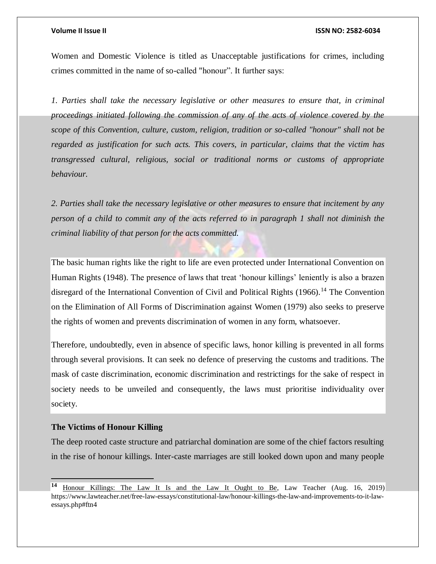Women and Domestic Violence is titled as Unacceptable justifications for crimes, including crimes committed in the name of so-called "honour". It further says:

*1. Parties shall take the necessary legislative or other measures to ensure that, in criminal proceedings initiated following the commission of any of the acts of violence covered by the scope of this Convention, culture, custom, religion, tradition or so-called "honour" shall not be regarded as justification for such acts. This covers, in particular, claims that the victim has transgressed cultural, religious, social or traditional norms or customs of appropriate behaviour.*

*2. Parties shall take the necessary legislative or other measures to ensure that incitement by any person of a child to commit any of the acts referred to in paragraph 1 shall not diminish the criminal liability of that person for the acts committed.*

The basic human rights like the right to life are even protected under International Convention on Human Rights (1948). The presence of laws that treat 'honour killings' leniently is also a brazen disregard of the International Convention of Civil and Political Rights  $(1966)$ <sup>14</sup> The Convention on the Elimination of All Forms of Discrimination against Women (1979) also seeks to preserve the rights of women and prevents discrimination of women in any form, whatsoever.

Therefore, undoubtedly, even in absence of specific laws, honor killing is prevented in all forms through several provisions. It can seek no defence of preserving the customs and traditions. The mask of caste discrimination, economic discrimination and restrictings for the sake of respect in society needs to be unveiled and consequently, the laws must prioritise individuality over society.

## **The Victims of Honour Killing**

The deep rooted caste structure and patriarchal domination are some of the chief factors resulting in the rise of honour killings. Inter-caste marriages are still looked down upon and many people

**<sup>14</sup>** Honour Killings: The Law It Is and the Law It Ought to Be, Law Teacher (Aug. 16, 2019) https://www.lawteacher.net/free-law-essays/constitutional-law/honour-killings-the-law-and-improvements-to-it-lawessays.php#ftn4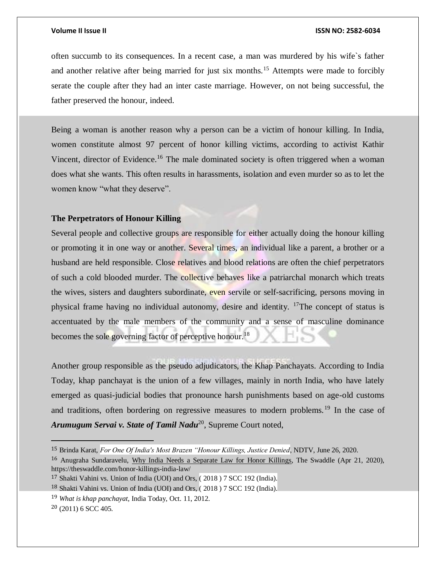often succumb to its consequences. In a recent case, a man was murdered by his wife`s father and another relative after being married for just six months.<sup>15</sup> Attempts were made to forcibly serate the couple after they had an inter caste marriage. However, on not being successful, the father preserved the honour, indeed.

Being a woman is another reason why a person can be a victim of honour killing. In India, women constitute almost 97 percent of honor killing victims, according to activist Kathir Vincent, director of Evidence.<sup>16</sup> The male dominated society is often triggered when a woman does what she wants. This often results in harassments, isolation and even murder so as to let the women know "what they deserve".

## **The Perpetrators of Honour Killing**

Several people and collective groups are responsible for either actually doing the honour killing or promoting it in one way or another. Several times, an individual like a parent, a brother or a husband are held responsible. Close relatives and blood relations are often the chief perpetrators of such a cold blooded murder. The collective behaves like a patriarchal monarch which treats the wives, sisters and daughters subordinate, even servile or self-sacrificing, persons moving in physical frame having no individual autonomy, desire and identity. <sup>17</sup>The concept of status is accentuated by the male members of the community and a sense of masculine dominance becomes the sole governing factor of perceptive honour.<sup>18</sup>

Another group responsible as the pseudo adjudicators, the Khap Panchayats. According to India Today, khap panchayat is the union of a few villages, mainly in north India, who have lately emerged as quasi-judicial bodies that pronounce harsh punishments based on age-old customs and traditions, often bordering on regressive measures to modern problems.<sup>19</sup> In the case of Arumugum Servai v. State of Tamil Nadu<sup>20</sup>, Supreme Court noted,

<sup>16</sup> Anugraha Sundaravelu, Why India Needs a Separate Law for Honor Killings, The Swaddle (Apr 21, 2020), https://theswaddle.com/honor-killings-india-law/

<sup>15</sup> Brinda Karat, *For One Of India's Most Brazen "Honour Killings, Justice Denied*, NDTV, June 26, 2020.

<sup>17</sup> Shakti Vahini vs. Union of India (UOI) and Ors, ( 2018 ) 7 SCC 192 (India).

<sup>18</sup> Shakti Vahini vs. Union of India (UOI) and Ors, ( 2018 ) 7 SCC 192 (India).

<sup>19</sup> *What is khap panchayat*, India Today, Oct. 11, 2012.

 $20(2011)$  6 SCC 405.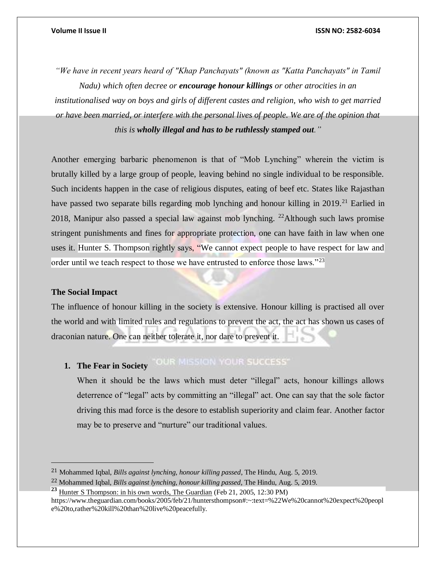*"We have in recent years heard of "Khap Panchayats" (known as "Katta Panchayats" in Tamil Nadu) which often decree or encourage honour killings or other atrocities in an institutionalised way on boys and girls of different castes and religion, who wish to get married or have been married, or interfere with the personal lives of people. We are of the opinion that this is wholly illegal and has to be ruthlessly stamped out."*

Another emerging barbaric phenomenon is that of "Mob Lynching" wherein the victim is brutally killed by a large group of people, leaving behind no single individual to be responsible. Such incidents happen in the case of religious disputes, eating of beef etc. States like Rajasthan have passed two separate bills regarding mob lynching and honour killing in 2019.<sup>21</sup> Earlied in 2018, Manipur also passed a special law against mob lynching. <sup>22</sup>Although such laws promise stringent punishments and fines for appropriate protection, one can have faith in law when one uses it. Hunter S. Thompson rightly says, "We cannot expect people to have respect for law and order until we teach respect to those we have entrusted to enforce those laws."<sup>23</sup>

## **The Social Impact**

 $\overline{a}$ 

The influence of honour killing in the society is extensive. Honour killing is practised all over the world and with limited rules and regulations to prevent the act, the act has shown us cases of draconian nature. One can neither tolerate it, nor dare to prevent it.

### "OUR MISSION YOUR SUCCESS" **1. The Fear in Society**

When it should be the laws which must deter "illegal" acts, honour killings allows deterrence of "legal" acts by committing an "illegal" act. One can say that the sole factor driving this mad force is the desore to establish superiority and claim fear. Another factor may be to preserve and "nurture" our traditional values.

<sup>21</sup> Mohammed Iqbal, *Bills against lynching, honour killing passed*, The Hindu, Aug. 5, 2019.

<sup>22</sup> Mohammed Iqbal, *Bills against lynching, honour killing passed*, The Hindu, Aug. 5, 2019.

**<sup>23</sup>** Hunter S Thompson: in his own words, The Guardian (Feb 21, 2005, 12:30 PM)

https://www.theguardian.com/books/2005/feb/21/huntersthompson#:~:text=%22We%20cannot%20expect%20peopl e%20to,rather%20kill%20than%20live%20peacefully.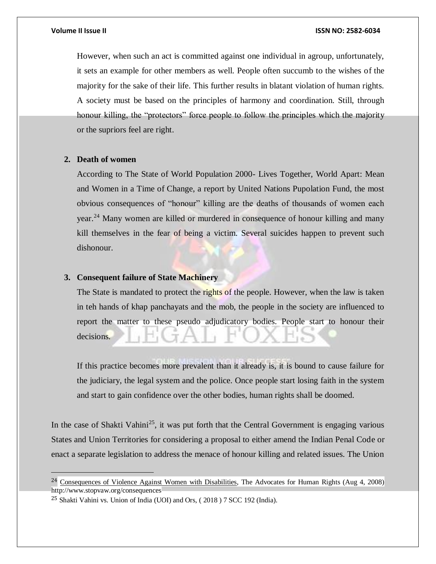However, when such an act is committed against one individual in agroup, unfortunately, it sets an example for other members as well. People often succumb to the wishes of the majority for the sake of their life. This further results in blatant violation of human rights. A society must be based on the principles of harmony and coordination. Still, through honour killing, the "protectors" force people to follow the principles which the majority or the supriors feel are right.

### **2. Death of women**

According to The State of World Population 2000- Lives Together, World Apart: Mean and Women in a Time of Change, a report by United Nations Pupolation Fund, the most obvious consequences of "honour" killing are the deaths of thousands of women each year.<sup>24</sup> Many women are killed or murdered in consequence of honour killing and many kill themselves in the fear of being a victim. Several suicides happen to prevent such dishonour.

## **3. Consequent failure of State Machinery**

The State is mandated to protect the rights of the people. However, when the law is taken in teh hands of khap panchayats and the mob, the people in the society are influenced to report the matter to these pseudo adjudicatory bodies. People start to honour their decisions.

If this practice becomes more prevalent than it already is, it is bound to cause failure for the judiciary, the legal system and the police. Once people start losing faith in the system and start to gain confidence over the other bodies, human rights shall be doomed.

In the case of Shakti Vahini<sup>25</sup>, it was put forth that the Central Government is engaging various States and Union Territories for considering a proposal to either amend the Indian Penal Code or enact a separate legislation to address the menace of honour killing and related issues. The Union

<sup>&</sup>lt;sup>24</sup> Consequences of Violence Against Women with Disabilities, The Advocates for Human Rights (Aug 4, 2008) http://www.stopvaw.org/consequences

<sup>25</sup> Shakti Vahini vs. Union of India (UOI) and Ors, ( 2018 ) 7 SCC 192 (India).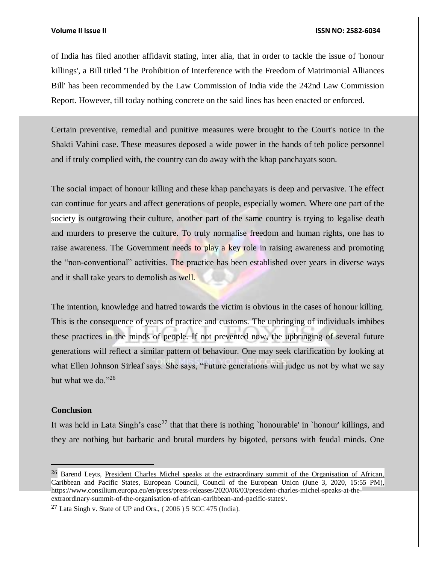of India has filed another affidavit stating, inter alia, that in order to tackle the issue of 'honour killings', a Bill titled 'The Prohibition of Interference with the Freedom of Matrimonial Alliances Bill' has been recommended by the Law Commission of India vide the 242nd Law Commission Report. However, till today nothing concrete on the said lines has been enacted or enforced.

Certain preventive, remedial and punitive measures were brought to the Court's notice in the Shakti Vahini case. These measures deposed a wide power in the hands of teh police personnel and if truly complied with, the country can do away with the khap panchayats soon.

The social impact of honour killing and these khap panchayats is deep and pervasive. The effect can continue for years and affect generations of people, especially women. Where one part of the society is outgrowing their culture, another part of the same country is trying to legalise death and murders to preserve the culture. To truly normalise freedom and human rights, one has to raise awareness. The Government needs to play a key role in raising awareness and promoting the "non-conventional" activities. The practice has been established over years in diverse ways and it shall take years to demolish as well.

The intention, knowledge and hatred towards the victim is obvious in the cases of honour killing. This is the consequence of years of practice and customs. The upbringing of individuals imbibes these practices in the minds of people. If not prevented now, the upbringing of several future generations will reflect a similar pattern of behaviour. One may seek clarification by looking at what Ellen Johnson Sirleaf says. She says, "Future generations will judge us not by what we say but what we do."26

### **Conclusion**

It was held in Lata Singh's case<sup>27</sup> that that there is nothing `honourable' in `honour' killings, and they are nothing but barbaric and brutal murders by bigoted, persons with feudal minds. One

<sup>&</sup>lt;sup>26</sup> Barend Leyts, President Charles Michel speaks at the extraordinary summit of the Organisation of African, Caribbean and Pacific States, European Council, Council of the European Union (June 3, 2020, 15:55 PM), https://www.consilium.europa.eu/en/press/press-releases/2020/06/03/president-charles-michel-speaks-at-theextraordinary-summit-of-the-organisation-of-african-caribbean-and-pacific-states/.

<sup>&</sup>lt;sup>27</sup> Lata Singh v. State of UP and Ors.,  $(2006)$  5 SCC 475 (India).